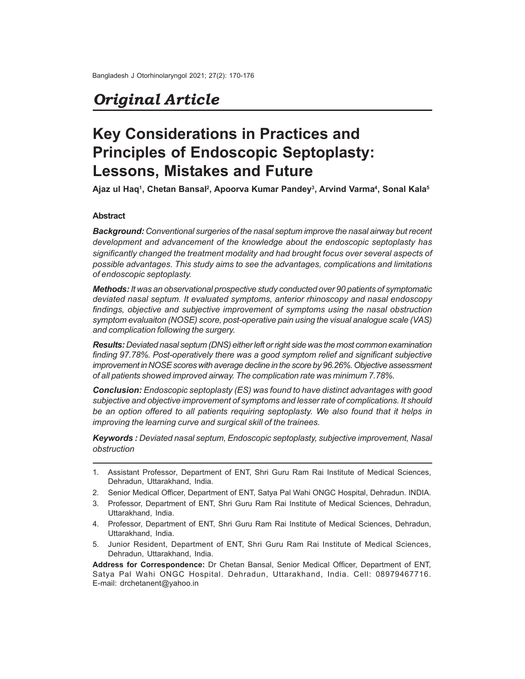# *Original Article*

# **Key Considerations in Practices and Principles of Endoscopic Septoplasty: Lessons, Mistakes and Future**

**Ajaz ul Haq<sup>1</sup> , Chetan Bansal<sup>2</sup> , Apoorva Kumar Pandey<sup>3</sup> , Arvind Varma<sup>4</sup> , Sonal Kala<sup>5</sup>**

## **Abstract**

*Background: Conventional surgeries of the nasal septum improve the nasal airway but recent development and advancement of the knowledge about the endoscopic septoplasty has significantly changed the treatment modality and had brought focus over several aspects of possible advantages. This study aims to see the advantages, complications and limitations of endoscopic septoplasty.*

*Methods: It was an observational prospective study conducted over 90 patients of symptomatic deviated nasal septum. It evaluated symptoms, anterior rhinoscopy and nasal endoscopy findings, objective and subjective improvement of symptoms using the nasal obstruction symptom evaluaiton (NOSE) score, post-operative pain using the visual analogue scale (VAS) and complication following the surgery.*

*Results: Deviated nasal septum (DNS) either left or right side was the most common examination finding 97.78%. Post-operatively there was a good symptom relief and significant subjective improvement in NOSE scores with average decline in the score by 96.26%. Objective assessment of all patients showed improved airway. The complication rate was minimum 7.78%.*

*Conclusion: Endoscopic septoplasty (ES) was found to have distinct advantages with good subjective and objective improvement of symptoms and lesser rate of complications. It should be an option offered to all patients requiring septoplasty. We also found that it helps in improving the learning curve and surgical skill of the trainees.*

*Keywords : Deviated nasal septum, Endoscopic septoplasty, subjective improvement, Nasal obstruction*

- 1. Assistant Professor, Department of ENT, Shri Guru Ram Rai Institute of Medical Sciences, Dehradun, Uttarakhand, India.
- 2. Senior Medical Officer, Department of ENT, Satya Pal Wahi ONGC Hospital, Dehradun. INDIA.
- 3. Professor, Department of ENT, Shri Guru Ram Rai Institute of Medical Sciences, Dehradun, Uttarakhand, India.
- 4. Professor, Department of ENT, Shri Guru Ram Rai Institute of Medical Sciences, Dehradun, Uttarakhand, India.
- 5. Junior Resident, Department of ENT, Shri Guru Ram Rai Institute of Medical Sciences, Dehradun, Uttarakhand, India.

**Address for Correspondence:** Dr Chetan Bansal, Senior Medical Officer, Department of ENT, Satya Pal Wahi ONGC Hospital. Dehradun, Uttarakhand, India. Cell: 08979467716. E-mail: drchetanent@yahoo.in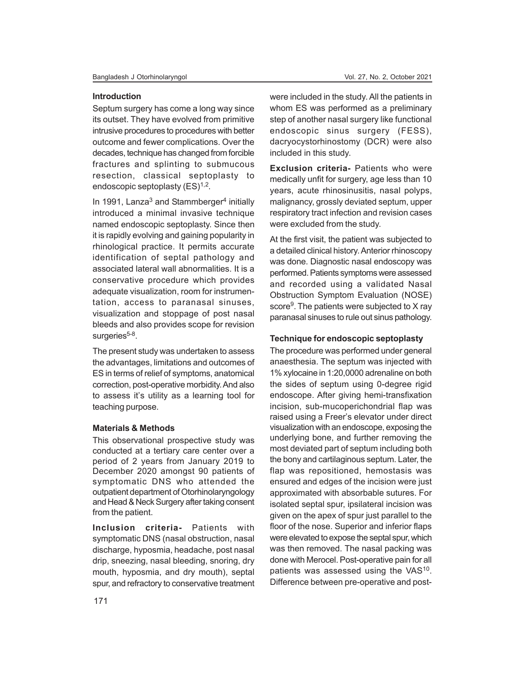#### **Introduction**

Septum surgery has come a long way since its outset. They have evolved from primitive intrusive procedures to procedures with better outcome and fewer complications. Over the decades, technique has changed from forcible fractures and splinting to submucous resection, classical septoplasty to endoscopic septoplasty (ES)<sup>1,2</sup>.

In 1991, Lanza<sup>3</sup> and Stammberger<sup>4</sup> initially introduced a minimal invasive technique named endoscopic septoplasty. Since then it is rapidly evolving and gaining popularity in rhinological practice. It permits accurate identification of septal pathology and associated lateral wall abnormalities. It is a conservative procedure which provides adequate visualization, room for instrumentation, access to paranasal sinuses, visualization and stoppage of post nasal bleeds and also provides scope for revision surgeries<sup>5-8</sup>.

The present study was undertaken to assess the advantages, limitations and outcomes of ES in terms of relief of symptoms, anatomical correction, post-operative morbidity. And also to assess it's utility as a learning tool for teaching purpose.

#### **Materials & Methods**

This observational prospective study was conducted at a tertiary care center over a period of 2 years from January 2019 to December 2020 amongst 90 patients of symptomatic DNS who attended the outpatient department of Otorhinolaryngology and Head & Neck Surgery after taking consent from the patient.

**Inclusion criteria-** Patients with symptomatic DNS (nasal obstruction, nasal discharge, hyposmia, headache, post nasal drip, sneezing, nasal bleeding, snoring, dry mouth, hyposmia, and dry mouth), septal spur, and refractory to conservative treatment were included in the study. All the patients in whom ES was performed as a preliminary step of another nasal surgery like functional endoscopic sinus surgery (FESS), dacryocystorhinostomy (DCR) were also included in this study.

**Exclusion criteria-** Patients who were medically unfit for surgery, age less than 10 years, acute rhinosinusitis, nasal polyps, malignancy, grossly deviated septum, upper respiratory tract infection and revision cases were excluded from the study.

At the first visit, the patient was subjected to a detailed clinical history. Anterior rhinoscopy was done. Diagnostic nasal endoscopy was performed. Patients symptoms were assessed and recorded using a validated Nasal Obstruction Symptom Evaluation (NOSE) score<sup>9</sup>. The patients were subjected to X ray paranasal sinuses to rule out sinus pathology.

#### **Technique for endoscopic septoplasty**

The procedure was performed under general anaesthesia. The septum was injected with 1% xylocaine in 1:20,0000 adrenaline on both the sides of septum using 0-degree rigid endoscope. After giving hemi-transfixation incision, sub-mucoperichondrial flap was raised using a Freer's elevator under direct visualization with an endoscope, exposing the underlying bone, and further removing the most deviated part of septum including both the bony and cartilaginous septum. Later, the flap was repositioned, hemostasis was ensured and edges of the incision were just approximated with absorbable sutures. For isolated septal spur, ipsilateral incision was given on the apex of spur just parallel to the floor of the nose. Superior and inferior flaps were elevated to expose the septal spur, which was then removed. The nasal packing was done with Merocel. Post-operative pain for all patients was assessed using the VAS<sup>10</sup>. Difference between pre-operative and post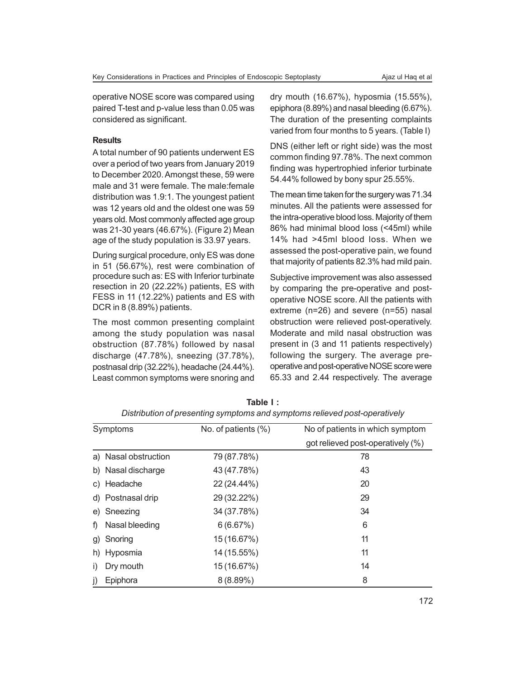operative NOSE score was compared using paired T-test and p-value less than 0.05 was considered as significant.

# **Results**

A total number of 90 patients underwent ES over a period of two years from January 2019 to December 2020. Amongst these, 59 were male and 31 were female. The male:female distribution was 1.9:1. The youngest patient was 12 years old and the oldest one was 59 years old. Most commonly affected age group was 21-30 years (46.67%). (Figure 2) Mean age of the study population is 33.97 years.

During surgical procedure, only ES was done in 51 (56.67%), rest were combination of procedure such as: ES with Inferior turbinate resection in 20 (22.22%) patients, ES with FESS in 11 (12.22%) patients and ES with DCR in 8 (8.89%) patients.

The most common presenting complaint among the study population was nasal obstruction (87.78%) followed by nasal discharge (47.78%), sneezing (37.78%), postnasal drip (32.22%), headache (24.44%). Least common symptoms were snoring and

dry mouth (16.67%), hyposmia (15.55%), epiphora (8.89%) and nasal bleeding (6.67%). The duration of the presenting complaints varied from four months to 5 years. (Table I)

DNS (either left or right side) was the most common finding 97.78%. The next common finding was hypertrophied inferior turbinate 54.44% followed by bony spur 25.55%.

The mean time taken for the surgery was 71.34 minutes. All the patients were assessed for the intra-operative blood loss. Majority of them 86% had minimal blood loss (<45ml) while 14% had >45ml blood loss. When we assessed the post-operative pain, we found that majority of patients 82.3% had mild pain.

Subjective improvement was also assessed by comparing the pre-operative and postoperative NOSE score. All the patients with extreme (n=26) and severe (n=55) nasal obstruction were relieved post-operatively. Moderate and mild nasal obstruction was present in (3 and 11 patients respectively) following the surgery. The average preoperative and post-operative NOSE score were 65.33 and 2.44 respectively. The average

|           | Symptoms             | No. of patients (%) | No of patients in which symptom   |  |
|-----------|----------------------|---------------------|-----------------------------------|--|
|           |                      |                     | got relieved post-operatively (%) |  |
|           | a) Nasal obstruction | 79 (87.78%)         | 78                                |  |
|           | b) Nasal discharge   | 43 (47.78%)         | 43                                |  |
|           | c) Headache          | 22 (24.44%)         | 20                                |  |
|           | d) Postnasal drip    | 29 (32.22%)         | 29                                |  |
|           | e) Sneezing          | 34 (37.78%)         | 34                                |  |
| f)        | Nasal bleeding       | 6(6.67%)            | 6                                 |  |
| g)        | Snoring              | 15 (16.67%)         | 11                                |  |
|           | h) Hyposmia          | 14 (15.55%)         | 11                                |  |
| $\vert$ ) | Dry mouth            | 15 (16.67%)         | 14                                |  |
| j)        | Epiphora             | 8(8.89%)            | 8                                 |  |

**Table I :** *Distribution of presenting symptoms and symptoms relieved post-operatively*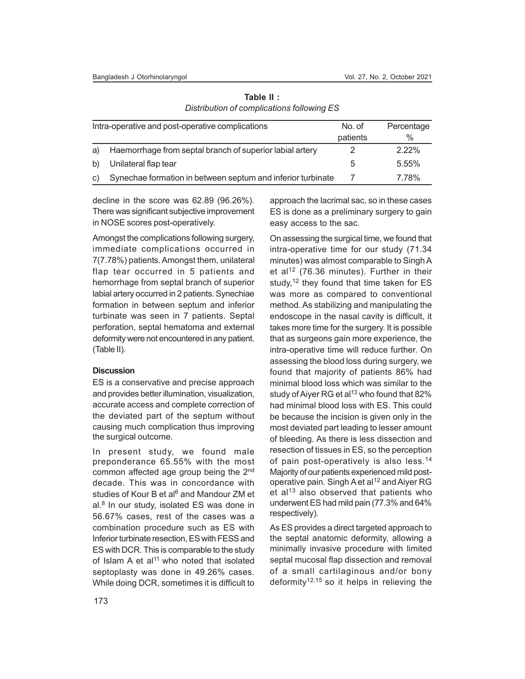| Intra-operative and post-operative complications |                                                             |          | Percentage |
|--------------------------------------------------|-------------------------------------------------------------|----------|------------|
|                                                  |                                                             | patients | %          |
| a                                                | Haemorrhage from septal branch of superior labial artery    |          | $2.22\%$   |
|                                                  | Unilateral flap tear                                        | 5.       | 5.55%      |
| $\mathcal{C}$                                    | Synechae formation in between septum and inferior turbinate |          | 7.78%      |

**Table II :** *Distribution of complications following ES*

decline in the score was 62.89 (96.26%). There was significant subjective improvement in NOSE scores post-operatively.

Amongst the complications following surgery, immediate complications occurred in 7(7.78%) patients. Amongst them, unilateral flap tear occurred in 5 patients and hemorrhage from septal branch of superior labial artery occurred in 2 patients. Synechiae formation in between septum and inferior turbinate was seen in 7 patients. Septal perforation, septal hematoma and external deformity were not encountered in any patient. (Table II).

# **Discussion**

ES is a conservative and precise approach and provides better illumination, visualization, accurate access and complete correction of the deviated part of the septum without causing much complication thus improving the surgical outcome.

In present study, we found male preponderance 65.55% with the most common affected age group being the 2<sup>nd</sup> decade. This was in concordance with studies of Kour B et al<sup>6</sup> and Mandour ZM et al.<sup>8</sup> In our study, isolated ES was done in 56.67% cases, rest of the cases was a combination procedure such as ES with Inferior turbinate resection, ES with FESS and ES with DCR. This is comparable to the study of Islam A et al<sup>11</sup> who noted that isolated septoplasty was done in 49.26% cases. While doing DCR, sometimes it is difficult to approach the lacrimal sac, so in these cases ES is done as a preliminary surgery to gain easy access to the sac.

On assessing the surgical time, we found that intra-operative time for our study (71.34 minutes) was almost comparable to Singh A et al<sup>12</sup> (76.36 minutes). Further in their study,<sup>12</sup> they found that time taken for ES was more as compared to conventional method. As stabilizing and manipulating the endoscope in the nasal cavity is difficult, it takes more time for the surgery. It is possible that as surgeons gain more experience, the intra-operative time will reduce further. On assessing the blood loss during surgery, we found that majority of patients 86% had minimal blood loss which was similar to the study of Aiyer RG et al<sup>13</sup> who found that  $82\%$ had minimal blood loss with ES. This could be because the incision is given only in the most deviated part leading to lesser amount of bleeding. As there is less dissection and resection of tissues in ES, so the perception of pain post-operatively is also less.<sup>14</sup> Majority of our patients experienced mild postoperative pain. Singh A et al<sup>12</sup> and Aiyer RG et al<sup>13</sup> also observed that patients who underwent ES had mild pain (77.3% and 64% respectively).

As ES provides a direct targeted approach to the septal anatomic deformity, allowing a minimally invasive procedure with limited septal mucosal flap dissection and removal of a small cartilaginous and/or bony deformity<sup>12,15</sup> so it helps in relieving the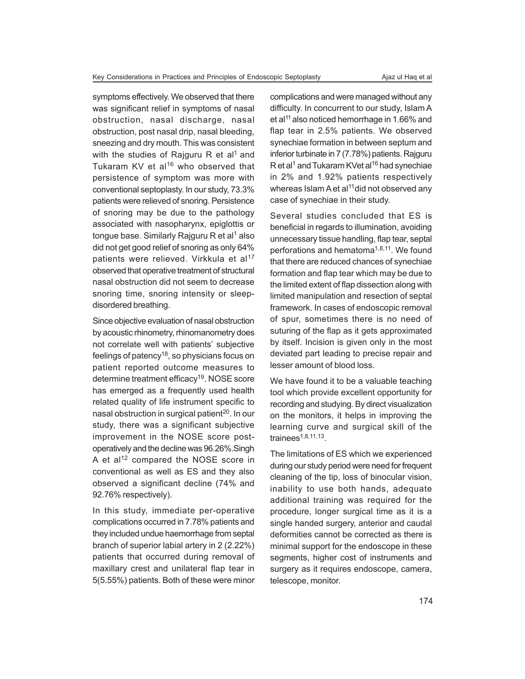symptoms effectively. We observed that there was significant relief in symptoms of nasal obstruction, nasal discharge, nasal obstruction, post nasal drip, nasal bleeding, sneezing and dry mouth. This was consistent with the studies of Rajguru R et al<sup>1</sup> and Tukaram  $KV$  et al<sup>16</sup> who observed that persistence of symptom was more with conventional septoplasty. In our study, 73.3% patients were relieved of snoring. Persistence of snoring may be due to the pathology associated with nasopharynx, epiglottis or tongue base. Similarly Rajguru R et al<sup>1</sup> also did not get good relief of snoring as only 64% patients were relieved. Virkkula et al<sup>17</sup> observed that operative treatment of structural nasal obstruction did not seem to decrease snoring time, snoring intensity or sleepdisordered breathing.

Since objective evaluation of nasal obstruction by acoustic rhinometry, rhinomanometry does not correlate well with patients' subjective feelings of patency<sup>18</sup>, so physicians focus on patient reported outcome measures to determine treatment efficacy<sup>19</sup>. NOSE score has emerged as a frequently used health related quality of life instrument specific to nasal obstruction in surgical patient<sup>20</sup>. In our study, there was a significant subjective improvement in the NOSE score postoperatively and the decline was 96.26%.Singh A et al<sup>12</sup> compared the NOSE score in conventional as well as ES and they also observed a significant decline (74% and 92.76% respectively).

In this study, immediate per-operative complications occurred in 7.78% patients and they included undue haemorrhage from septal branch of superior labial artery in 2 (2.22%) patients that occurred during removal of maxillary crest and unilateral flap tear in 5(5.55%) patients. Both of these were minor complications and were managed without any difficulty. In concurrent to our study, Islam A et al<sup>11</sup> also noticed hemorrhage in 1.66% and flap tear in 2.5% patients. We observed synechiae formation in between septum and inferior turbinate in 7 (7.78%) patients. Rajguru R et al<sup>1</sup> and Tukaram KVet al<sup>16</sup> had synechiae in 2% and 1.92% patients respectively whereas Islam A et al<sup>11</sup>did not observed any case of synechiae in their study.

Several studies concluded that ES is beneficial in regards to illumination, avoiding unnecessary tissue handling, flap tear, septal perforations and hematoma<sup>1,8,11</sup>. We found that there are reduced chances of synechiae formation and flap tear which may be due to the limited extent of flap dissection along with limited manipulation and resection of septal framework. In cases of endoscopic removal of spur, sometimes there is no need of suturing of the flap as it gets approximated by itself. Incision is given only in the most deviated part leading to precise repair and lesser amount of blood loss.

We have found it to be a valuable teaching tool which provide excellent opportunity for recording and studying. By direct visualization on the monitors, it helps in improving the learning curve and surgical skill of the trainees1,8,11,13 .

The limitations of ES which we experienced during our study period were need for frequent cleaning of the tip, loss of binocular vision, inability to use both hands, adequate additional training was required for the procedure, longer surgical time as it is a single handed surgery, anterior and caudal deformities cannot be corrected as there is minimal support for the endoscope in these segments, higher cost of instruments and surgery as it requires endoscope, camera, telescope, monitor.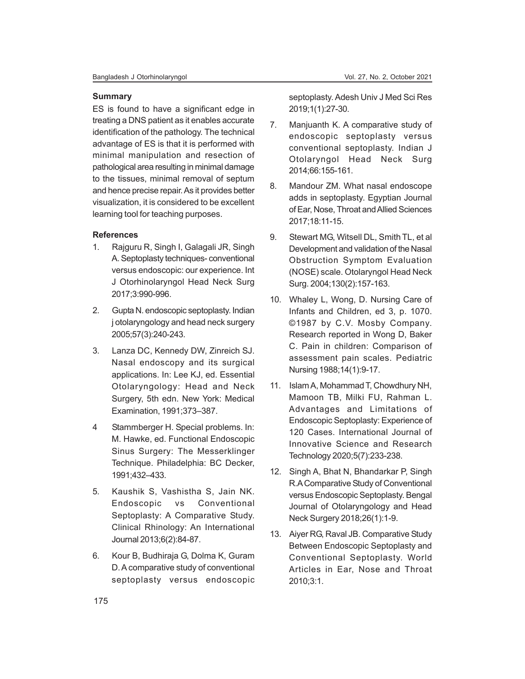#### **Summary**

ES is found to have a significant edge in treating a DNS patient as it enables accurate identification of the pathology. The technical advantage of ES is that it is performed with minimal manipulation and resection of pathological area resulting in minimal damage to the tissues, minimal removal of septum and hence precise repair. As it provides better visualization, it is considered to be excellent learning tool for teaching purposes.

# **References**

- 1. Rajguru R, Singh I, Galagali JR, Singh A. Septoplasty techniques- conventional versus endoscopic: our experience. Int J Otorhinolaryngol Head Neck Surg 2017;3:990-996.
- 2. Gupta N. endoscopic septoplasty. Indian j otolaryngology and head neck surgery 2005;57(3):240-243.
- 3. Lanza DC, Kennedy DW, Zinreich SJ. Nasal endoscopy and its surgical applications. In: Lee KJ, ed. Essential Otolaryngology: Head and Neck Surgery, 5th edn. New York: Medical Examination, 1991;373–387.
- 4 Stammberger H. Special problems. In: M. Hawke, ed. Functional Endoscopic Sinus Surgery: The Messerklinger Technique. Philadelphia: BC Decker, 1991;432–433.
- 5. Kaushik S, Vashistha S, Jain NK. Endoscopic vs Conventional Septoplasty: A Comparative Study. Clinical Rhinology: An International Journal 2013;6(2):84-87.
- 6. Kour B, Budhiraja G, Dolma K, Guram D. A comparative study of conventional septoplasty versus endoscopic

septoplasty. Adesh Univ J Med Sci Res 2019;1(1):27-30.

- 7. Manjuanth K. A comparative study of endoscopic septoplasty versus conventional septoplasty. Indian J Otolaryngol Head Neck Surg 2014;66:155-161.
- 8. Mandour ZM. What nasal endoscope adds in septoplasty. Egyptian Journal of Ear, Nose, Throat and Allied Sciences 2017;18:11-15.
- 9. Stewart MG, Witsell DL, Smith TL, et al Development and validation of the Nasal Obstruction Symptom Evaluation (NOSE) scale. Otolaryngol Head Neck Surg. 2004;130(2):157-163.
- 10. Whaley L, Wong, D. Nursing Care of Infants and Children, ed 3, p. 1070. ©1987 by C.V. Mosby Company. Research reported in Wong D, Baker C. Pain in children: Comparison of assessment pain scales. Pediatric Nursing 1988;14(1):9-17.
- 11. Islam A, Mohammad T, Chowdhury NH, Mamoon TB, Milki FU, Rahman L. Advantages and Limitations of Endoscopic Septoplasty: Experience of 120 Cases. International Journal of Innovative Science and Research Technology 2020;5(7):233-238.
- 12. Singh A, Bhat N, Bhandarkar P, Singh R.A Comparative Study of Conventional versus Endoscopic Septoplasty. Bengal Journal of Otolaryngology and Head Neck Surgery 2018;26(1):1-9.
- 13. Aiyer RG, Raval JB. Comparative Study Between Endoscopic Septoplasty and Conventional Septoplasty. World Articles in Ear, Nose and Throat 2010;3:1.